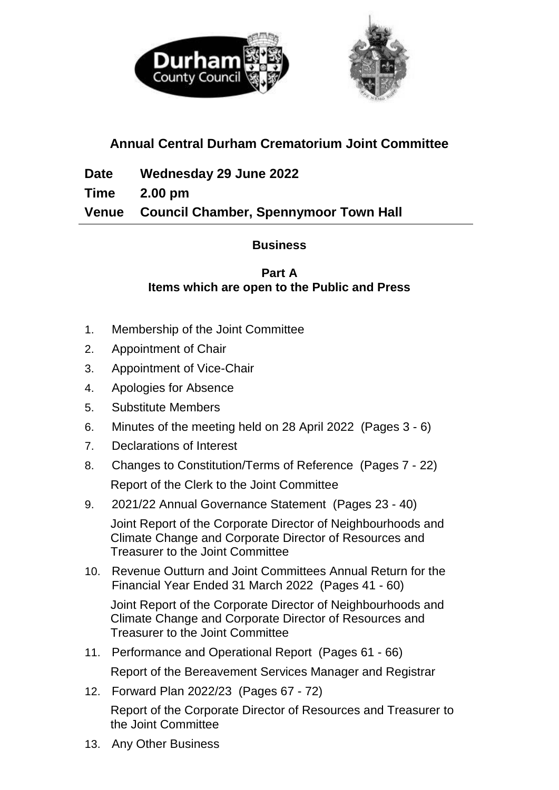

# **Annual Central Durham Crematorium Joint Committee**

**Date Wednesday 29 June 2022 Time 2.00 pm Venue Council Chamber, Spennymoor Town Hall**

## **Business**

#### **Part A Items which are open to the Public and Press**

- 1. Membership of the Joint Committee
- 2. Appointment of Chair
- 3. Appointment of Vice-Chair
- 4. Apologies for Absence
- 5. Substitute Members
- 6. Minutes of the meeting held on 28 April 2022(Pages 3 6)
- 7. Declarations of Interest
- 8. Changes to Constitution/Terms of Reference (Pages 7 22) Report of the Clerk to the Joint Committee
- 9. 2021/22 Annual Governance Statement (Pages 23 40)

Joint Report of the Corporate Director of Neighbourhoods and Climate Change and Corporate Director of Resources and Treasurer to the Joint Committee

10. Revenue Outturn and Joint Committees Annual Return for the Financial Year Ended 31 March 2022 (Pages 41 - 60)

Joint Report of the Corporate Director of Neighbourhoods and Climate Change and Corporate Director of Resources and Treasurer to the Joint Committee

- 11. Performance and Operational Report (Pages 61 66) Report of the Bereavement Services Manager and Registrar
- 12. Forward Plan 2022/23 (Pages 67 72)

Report of the Corporate Director of Resources and Treasurer to the Joint Committee

13. Any Other Business